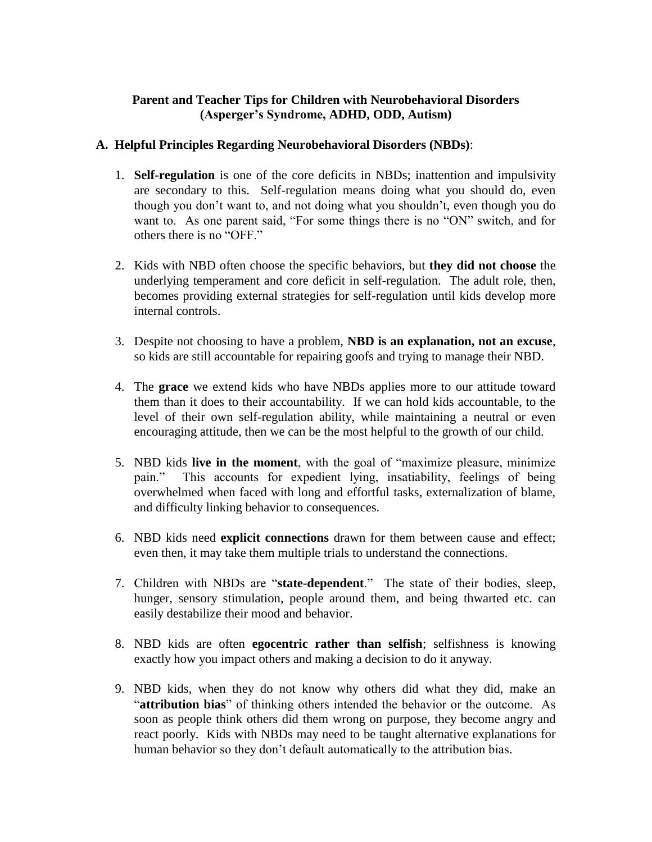## **Parent and Teacher Tips for Children with Neurobehavioral Disorders (Asperger's Syndrome, ADHD, ODD, Autism)**

## **A. Helpful Principles Regarding Neurobehavioral Disorders (NBDs)**:

- 1. **Self-regulation** is one of the core deficits in NBDs; inattention and impulsivity are secondary to this. Self-regulation means doing what you should do, even though you don't want to, and not doing what you shouldn't, even though you do want to. As one parent said, "For some things there is no "ON" switch, and for others there is no "OFF."
- 2. Kids with NBD often choose the specific behaviors, but **they did not choose** the underlying temperament and core deficit in self-regulation. The adult role, then, becomes providing external strategies for self-regulation until kids develop more internal controls.
- 3. Despite not choosing to have a problem, **NBD is an explanation, not an excuse**, so kids are still accountable for repairing goofs and trying to manage their NBD.
- 4. The **grace** we extend kids who have NBDs applies more to our attitude toward them than it does to their accountability. If we can hold kids accountable, to the level of their own self-regulation ability, while maintaining a neutral or even encouraging attitude, then we can be the most helpful to the growth of our child.
- 5. NBD kids **live in the moment**, with the goal of "maximize pleasure, minimize pain." This accounts for expedient lying, insatiability, feelings of being overwhelmed when faced with long and effortful tasks, externalization of blame, and difficulty linking behavior to consequences.
- 6. NBD kids need **explicit connections** drawn for them between cause and effect; even then, it may take them multiple trials to understand the connections.
- 7. Children with NBDs are "**state-dependent**." The state of their bodies, sleep, hunger, sensory stimulation, people around them, and being thwarted etc. can easily destabilize their mood and behavior.
- 8. NBD kids are often **egocentric rather than selfish**; selfishness is knowing exactly how you impact others and making a decision to do it anyway.
- 9. NBD kids, when they do not know why others did what they did, make an "**attribution bias**" of thinking others intended the behavior or the outcome. As soon as people think others did them wrong on purpose, they become angry and react poorly. Kids with NBDs may need to be taught alternative explanations for human behavior so they don't default automatically to the attribution bias.